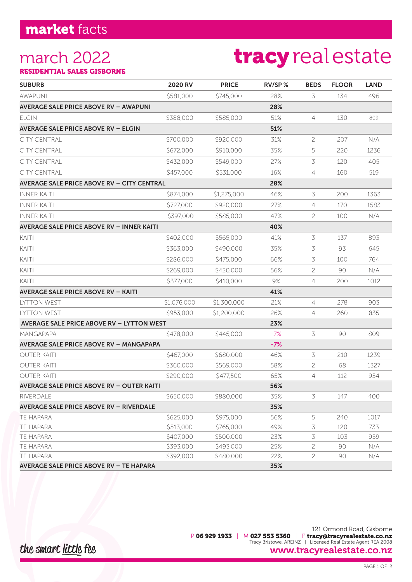### march 2022

# tracyrealestate

RESIDENTIAL SALES GISBORNE

| <b>SUBURB</b>                                     | 2020 RV     | <b>PRICE</b> | RV/SP % | <b>BEDS</b>    | <b>FLOOR</b> | <b>LAND</b> |
|---------------------------------------------------|-------------|--------------|---------|----------------|--------------|-------------|
| <b>AWAPUNI</b>                                    | \$581,000   | \$745,000    | 28%     | 3              | 134          | 496         |
| <b>AVERAGE SALE PRICE ABOVE RV - AWAPUNI</b>      |             |              | 28%     |                |              |             |
| ELGIN                                             | \$388,000   | \$585,000    | 51%     | $\overline{4}$ | 130          | 809         |
| <b>AVERAGE SALE PRICE ABOVE RV - ELGIN</b>        |             |              | 51%     |                |              |             |
| <b>CITY CENTRAL</b>                               | \$700,000   | \$920,000    | 31%     | 2              | 207          | N/A         |
| <b>CITY CENTRAL</b>                               | \$672,000   | \$910,000    | 35%     | 5              | 220          | 1236        |
| <b>CITY CENTRAL</b>                               | \$432,000   | \$549,000    | 27%     | 3              | 120          | 405         |
| <b>CITY CENTRAL</b>                               | \$457,000   | \$531,000    | 16%     | 4              | 160          | 519         |
| <b>AVERAGE SALE PRICE ABOVE RV - CITY CENTRAL</b> |             |              | 28%     |                |              |             |
| <b>INNER KAITI</b>                                | \$874,000   | \$1,275,000  | 46%     | 3              | 200          | 1363        |
| <b>INNER KAITI</b>                                | \$727,000   | \$920,000    | 27%     | 4              | 170          | 1583        |
| <b>INNER KAITI</b>                                | \$397,000   | \$585,000    | 47%     | 2              | 100          | N/A         |
| <b>AVERAGE SALE PRICE ABOVE RV - INNER KAITI</b>  |             |              | 40%     |                |              |             |
| KAITI                                             | \$402,000   | \$565,000    | 41%     | 3              | 137          | 893         |
| KAITI                                             | \$363,000   | \$490,000    | 35%     | 3              | 93           | 645         |
| KAITI                                             | \$286,000   | \$475,000    | 66%     | 3              | 100          | 764         |
| KAITI                                             | \$269,000   | \$420,000    | 56%     | 2              | 90           | N/A         |
| KAITI                                             | \$377,000   | \$410,000    | 9%      | 4              | 200          | 1012        |
| <b>AVERAGE SALE PRICE ABOVE RV - KAITI</b>        |             |              | 41%     |                |              |             |
| <b>LYTTON WEST</b>                                | \$1,076,000 | \$1,300,000  | 21%     | $\overline{4}$ | 278          | 903         |
| <b>LYTTON WEST</b>                                | \$953,000   | \$1,200,000  | 26%     | 4              | 260          | 835         |
| <b>AVERAGE SALE PRICE ABOVE RV - LYTTON WEST</b>  |             |              | 23%     |                |              |             |
| <b>MANGAPAPA</b>                                  | \$478,000   | \$445,000    | $-7%$   | 3              | 90           | 809         |
| <b>AVERAGE SALE PRICE ABOVE RV - MANGAPAPA</b>    |             |              | $-7%$   |                |              |             |
| <b>OUTER KAITI</b>                                | \$467,000   | \$680,000    | 46%     | 3              | 210          | 1239        |
| OUTER KAITI                                       | \$360,000   | \$569,000    | 58%     | 2              | 68           | 1327        |
| <b>OUTER KAITI</b>                                | \$290,000   | \$477,500    | 65%     | 4              | 112          | 954         |
| <b>AVERAGE SALE PRICE ABOVE RV - OUTER KAITI</b>  |             |              | 56%     |                |              |             |
| RIVERDALE                                         | \$650,000   | \$880,000    | 35%     | 3              | 147          | 400         |
| <b>AVERAGE SALE PRICE ABOVE RV - RIVERDALE</b>    |             |              | 35%     |                |              |             |
| TE HAPARA                                         | \$625,000   | \$975,000    | 56%     | 5              | 240          | 1017        |
| <b>TE HAPARA</b>                                  | \$513,000   | \$765,000    | 49%     | 3              | 120          | 733         |
| TE HAPARA                                         | \$407,000   | \$500,000    | 23%     | 3              | 103          | 959         |
| TE HAPARA                                         | \$393,000   | \$493,000    | 25%     | 2              | 90           | N/A         |
| <b>TE HAPARA</b>                                  | \$392,000   | \$480,000    | 22%     | 2              | 90           | N/A         |
| <b>AVERAGE SALE PRICE ABOVE RV - TE HAPARA</b>    |             |              | 35%     |                |              |             |

the smart little fee